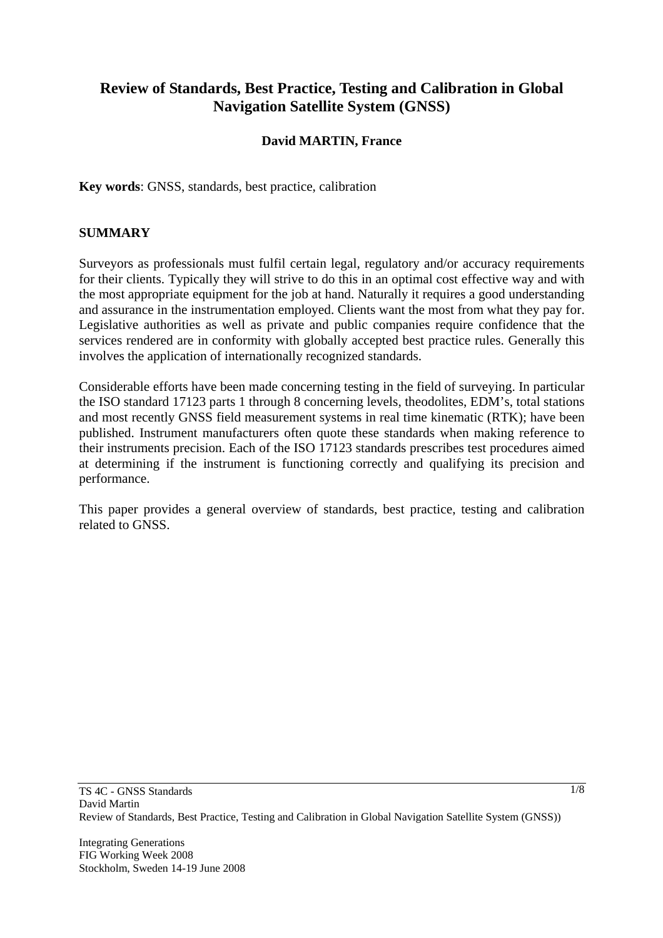# **Review of Standards, Best Practice, Testing and Calibration in Global Navigation Satellite System (GNSS)**

#### **David MARTIN, France**

**Key words**: GNSS, standards, best practice, calibration

#### **SUMMARY**

Surveyors as professionals must fulfil certain legal, regulatory and/or accuracy requirements for their clients. Typically they will strive to do this in an optimal cost effective way and with the most appropriate equipment for the job at hand. Naturally it requires a good understanding and assurance in the instrumentation employed. Clients want the most from what they pay for. Legislative authorities as well as private and public companies require confidence that the services rendered are in conformity with globally accepted best practice rules. Generally this involves the application of internationally recognized standards.

Considerable efforts have been made concerning testing in the field of surveying. In particular the ISO standard 17123 parts 1 through 8 concerning levels, theodolites, EDM's, total stations and most recently GNSS field measurement systems in real time kinematic (RTK); have been published. Instrument manufacturers often quote these standards when making reference to their instruments precision. Each of the ISO 17123 standards prescribes test procedures aimed at determining if the instrument is functioning correctly and qualifying its precision and performance.

This paper provides a general overview of standards, best practice, testing and calibration related to GNSS.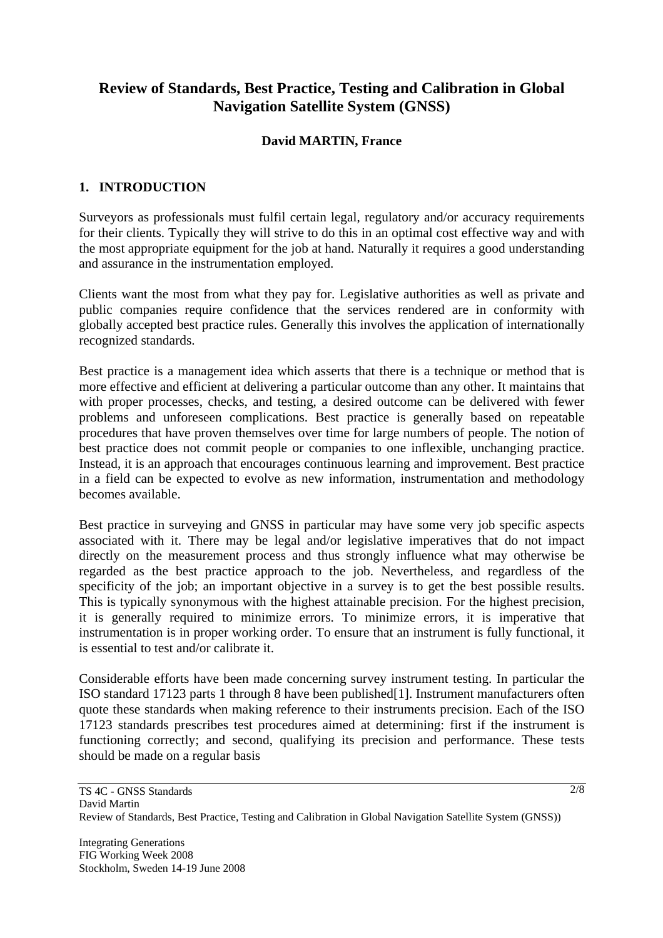# **Review of Standards, Best Practice, Testing and Calibration in Global Navigation Satellite System (GNSS)**

#### **David MARTIN, France**

## **1. INTRODUCTION**

Surveyors as professionals must fulfil certain legal, regulatory and/or accuracy requirements for their clients. Typically they will strive to do this in an optimal cost effective way and with the most appropriate equipment for the job at hand. Naturally it requires a good understanding and assurance in the instrumentation employed.

Clients want the most from what they pay for. Legislative authorities as well as private and public companies require confidence that the services rendered are in conformity with globally accepted best practice rules. Generally this involves the application of internationally recognized standards.

Best practice is a management idea which asserts that there is a technique or method that is more effective and efficient at delivering a particular outcome than any other. It maintains that with proper processes, checks, and testing, a desired outcome can be delivered with fewer problems and unforeseen complications. Best practice is generally based on repeatable procedures that have proven themselves over time for large numbers of people. The notion of best practice does not commit people or companies to one inflexible, unchanging practice. Instead, it is an approach that encourages continuous learning and improvement. Best practice in a field can be expected to evolve as new information, instrumentation and methodology becomes available.

Best practice in surveying and GNSS in particular may have some very job specific aspects associated with it. There may be legal and/or legislative imperatives that do not impact directly on the measurement process and thus strongly influence what may otherwise be regarded as the best practice approach to the job. Nevertheless, and regardless of the specificity of the job; an important objective in a survey is to get the best possible results. This is typically synonymous with the highest attainable precision. For the highest precision, it is generally required to minimize errors. To minimize errors, it is imperative that instrumentation is in proper working order. To ensure that an instrument is fully functional, it is essential to test and/or calibrate it.

Considerable efforts have been made concerning survey instrument testing. In particular the ISO standard 17123 parts 1 through 8 have been published[1]. Instrument manufacturers often quote these standards when making reference to their instruments precision. Each of the ISO 17123 standards prescribes test procedures aimed at determining: first if the instrument is functioning correctly; and second, qualifying its precision and performance. These tests should be made on a regular basis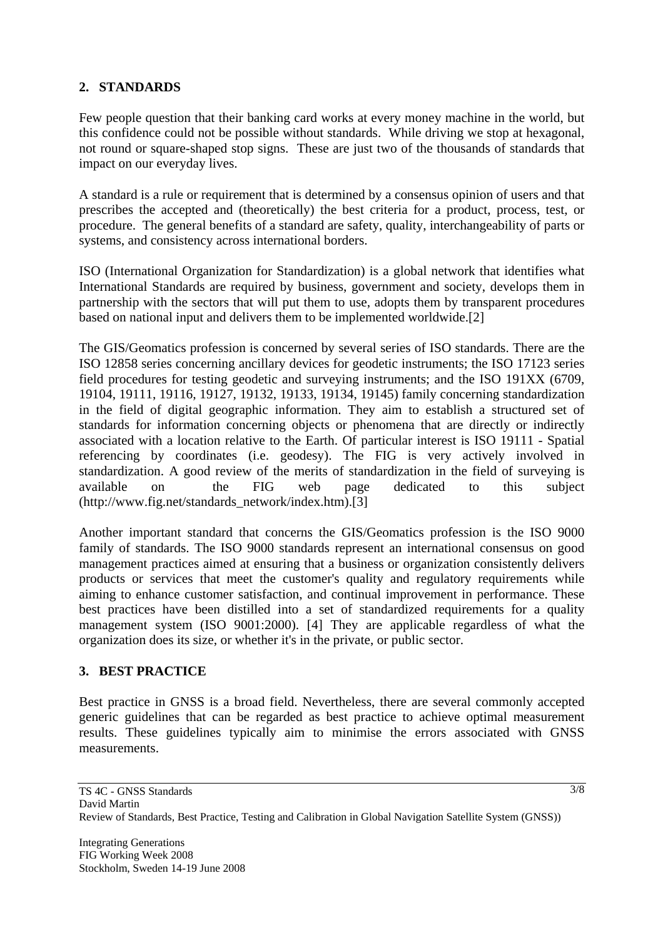## **2. STANDARDS**

Few people question that their banking card works at every money machine in the world, but this confidence could not be possible without standards. While driving we stop at hexagonal, not round or square-shaped stop signs. These are just two of the thousands of standards that impact on our everyday lives.

A standard is a rule or requirement that is determined by a consensus opinion of users and that prescribes the accepted and (theoretically) the best criteria for a product, process, test, or procedure. The general benefits of a standard are safety, quality, interchangeability of parts or systems, and consistency across international borders.

ISO (International Organization for Standardization) is a global network that identifies what International Standards are required by business, government and society, develops them in partnership with the sectors that will put them to use, adopts them by transparent procedures based on national input and delivers them to be implemented worldwide.[2]

The GIS/Geomatics profession is concerned by several series of ISO standards. There are the ISO 12858 series concerning ancillary devices for geodetic instruments; the ISO 17123 series field procedures for testing geodetic and surveying instruments; and the ISO 191XX (6709, 19104, 19111, 19116, 19127, 19132, 19133, 19134, 19145) family concerning standardization in the field of digital geographic information. They aim to establish a structured set of standards for information concerning objects or phenomena that are directly or indirectly associated with a location relative to the Earth. Of particular interest is ISO 19111 - Spatial referencing by coordinates (i.e. geodesy). The FIG is very actively involved in standardization. A good review of the merits of standardization in the field of surveying is available on the FIG web page dedicated to this subject (http://www.fig.net/standards\_network/index.htm).[3]

Another important standard that concerns the GIS/Geomatics profession is the ISO 9000 family of standards. The ISO 9000 standards represent an international consensus on good management practices aimed at ensuring that a business or organization consistently delivers products or services that meet the customer's quality and regulatory requirements while aiming to enhance customer satisfaction, and continual improvement in performance. These best practices have been distilled into a set of standardized requirements for a quality management system (ISO 9001:2000). [4] They are applicable regardless of what the organization does its size, or whether it's in the private, or public sector.

#### **3. BEST PRACTICE**

Best practice in GNSS is a broad field. Nevertheless, there are several commonly accepted generic guidelines that can be regarded as best practice to achieve optimal measurement results. These guidelines typically aim to minimise the errors associated with GNSS measurements.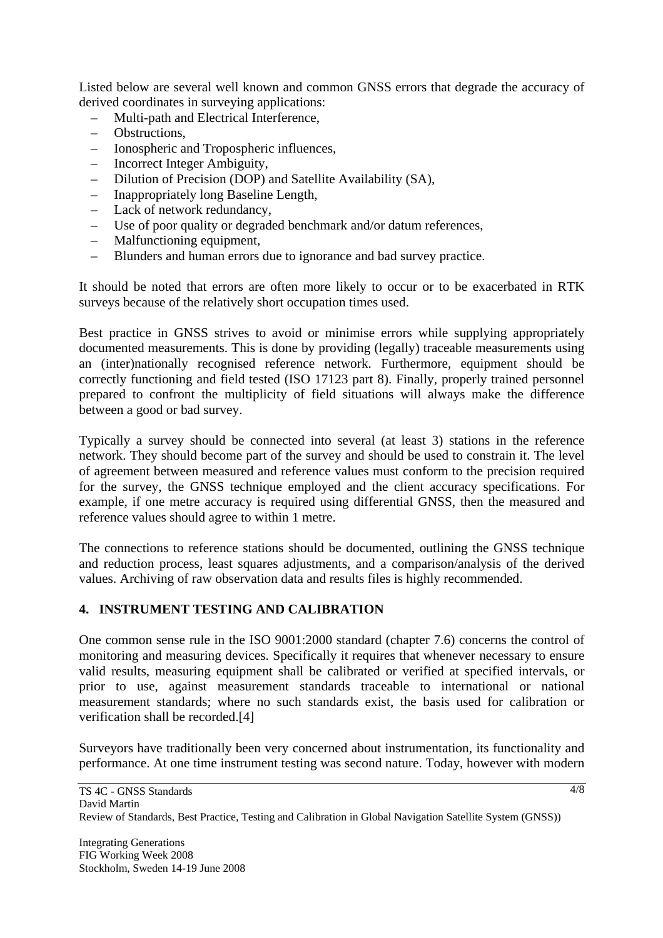Listed below are several well known and common GNSS errors that degrade the accuracy of derived coordinates in surveying applications:

- Multi-path and Electrical Interference,
- Obstructions,
- Ionospheric and Tropospheric influences,
- Incorrect Integer Ambiguity,
- Dilution of Precision (DOP) and Satellite Availability (SA),
- Inappropriately long Baseline Length,
- Lack of network redundancy,
- Use of poor quality or degraded benchmark and/or datum references,
- Malfunctioning equipment,
- Blunders and human errors due to ignorance and bad survey practice.

It should be noted that errors are often more likely to occur or to be exacerbated in RTK surveys because of the relatively short occupation times used.

Best practice in GNSS strives to avoid or minimise errors while supplying appropriately documented measurements. This is done by providing (legally) traceable measurements using an (inter)nationally recognised reference network. Furthermore, equipment should be correctly functioning and field tested (ISO 17123 part 8). Finally, properly trained personnel prepared to confront the multiplicity of field situations will always make the difference between a good or bad survey.

Typically a survey should be connected into several (at least 3) stations in the reference network. They should become part of the survey and should be used to constrain it. The level of agreement between measured and reference values must conform to the precision required for the survey, the GNSS technique employed and the client accuracy specifications. For example, if one metre accuracy is required using differential GNSS, then the measured and reference values should agree to within 1 metre.

The connections to reference stations should be documented, outlining the GNSS technique and reduction process, least squares adjustments, and a comparison/analysis of the derived values. Archiving of raw observation data and results files is highly recommended.

## **4. INSTRUMENT TESTING AND CALIBRATION**

One common sense rule in the ISO 9001:2000 standard (chapter 7.6) concerns the control of monitoring and measuring devices. Specifically it requires that whenever necessary to ensure valid results, measuring equipment shall be calibrated or verified at specified intervals, or prior to use, against measurement standards traceable to international or national measurement standards; where no such standards exist, the basis used for calibration or verification shall be recorded.[4]

Surveyors have traditionally been very concerned about instrumentation, its functionality and performance. At one time instrument testing was second nature. Today, however with modern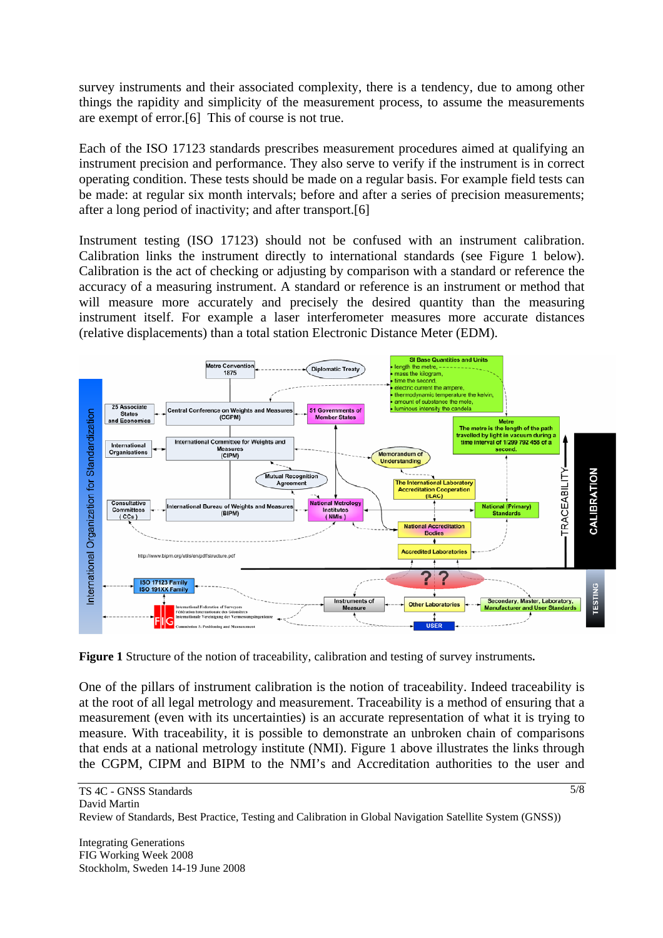survey instruments and their associated complexity, there is a tendency, due to among other things the rapidity and simplicity of the measurement process, to assume the measurements are exempt of error.[6] This of course is not true.

Each of the ISO 17123 standards prescribes measurement procedures aimed at qualifying an instrument precision and performance. They also serve to verify if the instrument is in correct operating condition. These tests should be made on a regular basis. For example field tests can be made: at regular six month intervals; before and after a series of precision measurements; after a long period of inactivity; and after transport.[6]

Instrument testing (ISO 17123) should not be confused with an instrument calibration. Calibration links the instrument directly to international standards (see Figure 1 below). Calibration is the act of checking or adjusting by comparison with a standard or reference the accuracy of a measuring instrument. A standard or reference is an instrument or method that will measure more accurately and precisely the desired quantity than the measuring instrument itself. For example a laser interferometer measures more accurate distances (relative displacements) than a total station Electronic Distance Meter (EDM).



**Figure 1** Structure of the notion of traceability, calibration and testing of survey instruments**.** 

One of the pillars of instrument calibration is the notion of traceability. Indeed traceability is at the root of all legal metrology and measurement. Traceability is a method of ensuring that a measurement (even with its uncertainties) is an accurate representation of what it is trying to measure. With traceability, it is possible to demonstrate an unbroken chain of comparisons that ends at a national metrology institute (NMI). Figure 1 above illustrates the links through the CGPM, CIPM and BIPM to the NMI's and Accreditation authorities to the user and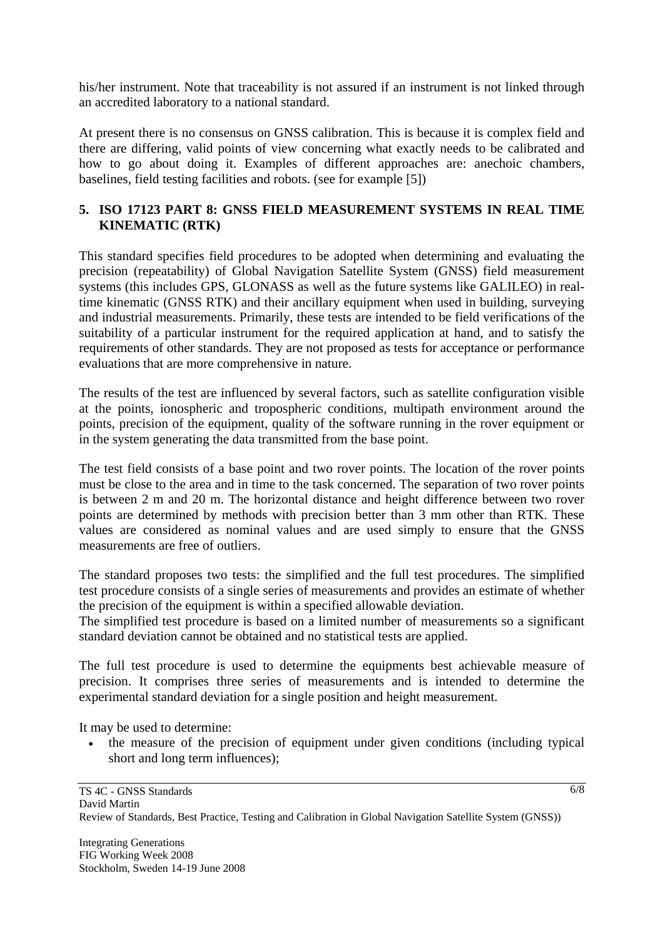his/her instrument. Note that traceability is not assured if an instrument is not linked through an accredited laboratory to a national standard.

At present there is no consensus on GNSS calibration. This is because it is complex field and there are differing, valid points of view concerning what exactly needs to be calibrated and how to go about doing it. Examples of different approaches are: anechoic chambers, baselines, field testing facilities and robots. (see for example [5])

### **5. ISO 17123 PART 8: GNSS FIELD MEASUREMENT SYSTEMS IN REAL TIME KINEMATIC (RTK)**

This standard specifies field procedures to be adopted when determining and evaluating the precision (repeatability) of Global Navigation Satellite System (GNSS) field measurement systems (this includes GPS, GLONASS as well as the future systems like GALILEO) in realtime kinematic (GNSS RTK) and their ancillary equipment when used in building, surveying and industrial measurements. Primarily, these tests are intended to be field verifications of the suitability of a particular instrument for the required application at hand, and to satisfy the requirements of other standards. They are not proposed as tests for acceptance or performance evaluations that are more comprehensive in nature.

The results of the test are influenced by several factors, such as satellite configuration visible at the points, ionospheric and tropospheric conditions, multipath environment around the points, precision of the equipment, quality of the software running in the rover equipment or in the system generating the data transmitted from the base point.

The test field consists of a base point and two rover points. The location of the rover points must be close to the area and in time to the task concerned. The separation of two rover points is between 2 m and 20 m. The horizontal distance and height difference between two rover points are determined by methods with precision better than 3 mm other than RTK. These values are considered as nominal values and are used simply to ensure that the GNSS measurements are free of outliers.

The standard proposes two tests: the simplified and the full test procedures. The simplified test procedure consists of a single series of measurements and provides an estimate of whether the precision of the equipment is within a specified allowable deviation.

The simplified test procedure is based on a limited number of measurements so a significant standard deviation cannot be obtained and no statistical tests are applied.

The full test procedure is used to determine the equipments best achievable measure of precision. It comprises three series of measurements and is intended to determine the experimental standard deviation for a single position and height measurement.

It may be used to determine:

• the measure of the precision of equipment under given conditions (including typical short and long term influences);

6/8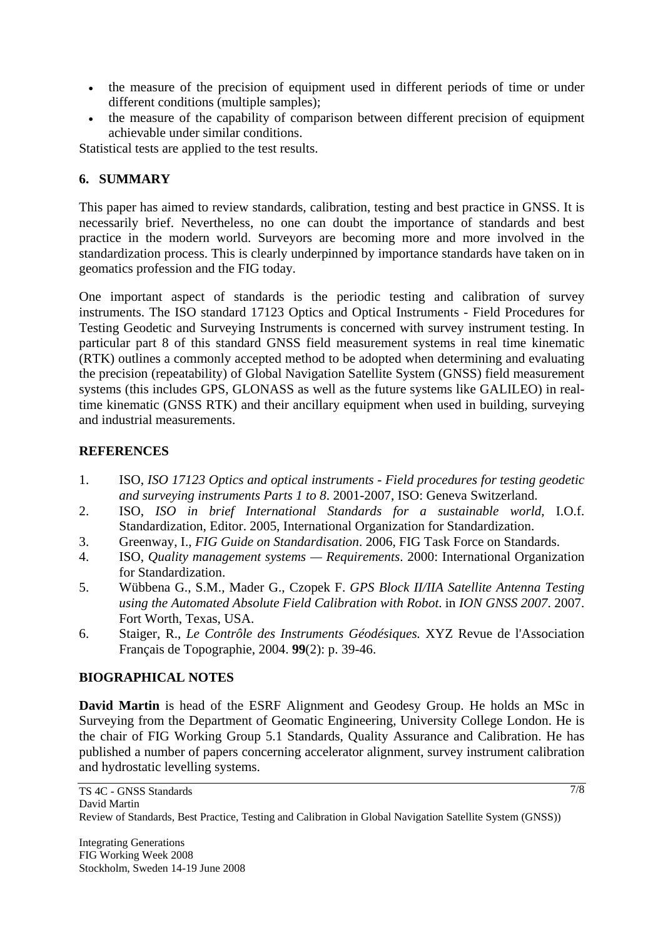- the measure of the precision of equipment used in different periods of time or under different conditions (multiple samples);
- the measure of the capability of comparison between different precision of equipment achievable under similar conditions.

Statistical tests are applied to the test results.

## **6. SUMMARY**

This paper has aimed to review standards, calibration, testing and best practice in GNSS. It is necessarily brief. Nevertheless, no one can doubt the importance of standards and best practice in the modern world. Surveyors are becoming more and more involved in the standardization process. This is clearly underpinned by importance standards have taken on in geomatics profession and the FIG today.

One important aspect of standards is the periodic testing and calibration of survey instruments. The ISO standard 17123 Optics and Optical Instruments - Field Procedures for Testing Geodetic and Surveying Instruments is concerned with survey instrument testing. In particular part 8 of this standard GNSS field measurement systems in real time kinematic (RTK) outlines a commonly accepted method to be adopted when determining and evaluating the precision (repeatability) of Global Navigation Satellite System (GNSS) field measurement systems (this includes GPS, GLONASS as well as the future systems like GALILEO) in realtime kinematic (GNSS RTK) and their ancillary equipment when used in building, surveying and industrial measurements.

## **REFERENCES**

- 1. ISO, *ISO 17123 Optics and optical instruments Field procedures for testing geodetic and surveying instruments Parts 1 to 8*. 2001-2007, ISO: Geneva Switzerland.
- 2. ISO, *ISO in brief International Standards for a sustainable world*, I.O.f. Standardization, Editor. 2005, International Organization for Standardization.
- 3. Greenway, I., *FIG Guide on Standardisation*. 2006, FIG Task Force on Standards.
- 4. ISO, *Quality management systems Requirements*. 2000: International Organization for Standardization.
- 5. Wübbena G., S.M., Mader G., Czopek F. *GPS Block II/IIA Satellite Antenna Testing using the Automated Absolute Field Calibration with Robot*. in *ION GNSS 2007*. 2007. Fort Worth, Texas, USA.
- 6. Staiger, R., *Le Contrôle des Instruments Géodésiques.* XYZ Revue de l'Association Français de Topographie, 2004. **99**(2): p. 39-46.

## **BIOGRAPHICAL NOTES**

**David Martin** is head of the ESRF Alignment and Geodesy Group. He holds an MSc in Surveying from the Department of Geomatic Engineering, University College London. He is the chair of FIG Working Group 5.1 Standards, Quality Assurance and Calibration. He has published a number of papers concerning accelerator alignment, survey instrument calibration and hydrostatic levelling systems.

7/8